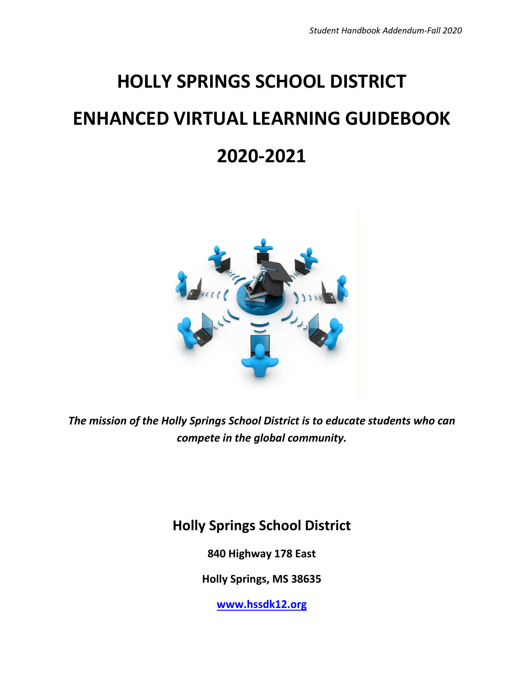# **HOLLY SPRINGS SCHOOL DISTRICT ENHANCED VIRTUAL LEARNING GUIDEBOOK 2020-2021**



*The mission of the Holly Springs School District is to educate students who can compete in the global community.*

### **Holly Springs School District**

**840 Highway 178 East**

**Holly Springs, MS 38635**

**[www.hssdk12.org](http://www.hssdk12.org/)**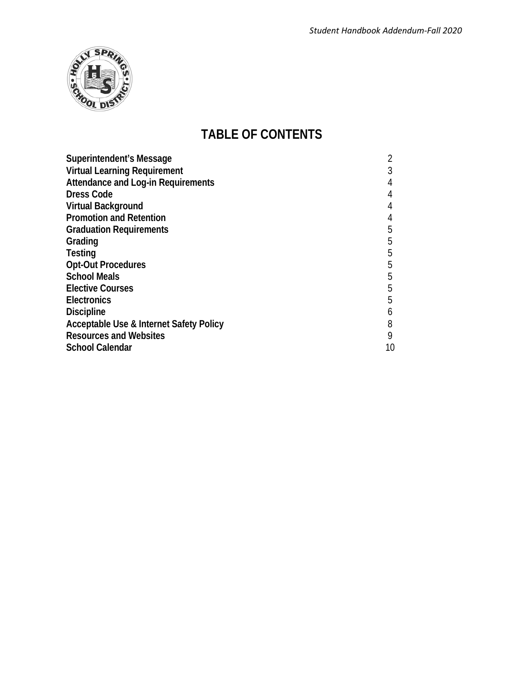

### **TABLE OF CONTENTS**

| Superintendent's Message                           |    |
|----------------------------------------------------|----|
| <b>Virtual Learning Requirement</b>                |    |
| <b>Attendance and Log-in Requirements</b>          |    |
| <b>Dress Code</b>                                  | 4  |
| <b>Virtual Background</b>                          | 4  |
| <b>Promotion and Retention</b>                     |    |
| <b>Graduation Requirements</b>                     | 5  |
| Grading                                            | 5  |
| <b>Testing</b>                                     | 5  |
| <b>Opt-Out Procedures</b>                          | 5  |
| <b>School Meals</b>                                | 5  |
| <b>Elective Courses</b>                            | 5  |
| <b>Electronics</b>                                 | 5  |
| <b>Discipline</b>                                  | b  |
| <b>Acceptable Use &amp; Internet Safety Policy</b> | 8  |
| <b>Resources and Websites</b>                      | 9  |
| <b>School Calendar</b>                             | 10 |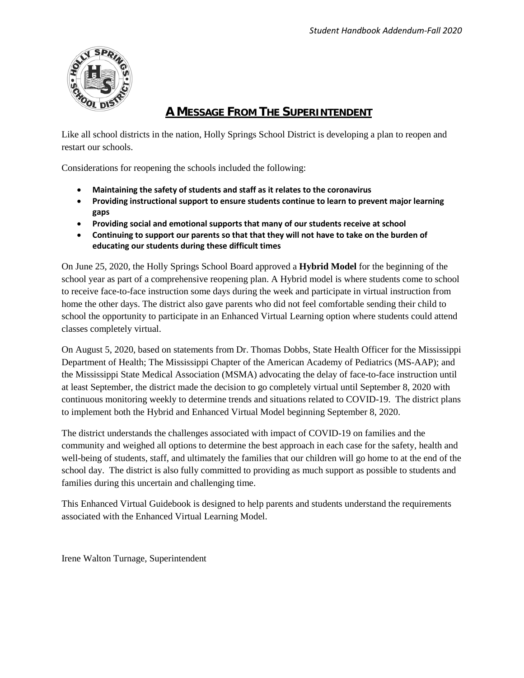

#### **A MESSAGE FROM THE SUPERINTENDENT**

Like all school districts in the nation, Holly Springs School District is developing a plan to reopen and restart our schools.

Considerations for reopening the schools included the following:

- **Maintaining the safety of students and staff as it relates to the coronavirus**
- **Providing instructional support to ensure students continue to learn to prevent major learning gaps**
- **Providing social and emotional supports that many of our students receive at school**
- **Continuing to support our parents so that that they will not have to take on the burden of educating our students during these difficult times**

On June 25, 2020, the Holly Springs School Board approved a **Hybrid Model** for the beginning of the school year as part of a comprehensive reopening plan. A Hybrid model is where students come to school to receive face-to-face instruction some days during the week and participate in virtual instruction from home the other days. The district also gave parents who did not feel comfortable sending their child to school the opportunity to participate in an Enhanced Virtual Learning option where students could attend classes completely virtual.

On August 5, 2020, based on statements from Dr. Thomas Dobbs, State Health Officer for the Mississippi Department of Health; The Mississippi Chapter of the American Academy of Pediatrics (MS-AAP); and the Mississippi State Medical Association (MSMA) advocating the delay of face-to-face instruction until at least September, the district made the decision to go completely virtual until September 8, 2020 with continuous monitoring weekly to determine trends and situations related to COVID-19. The district plans to implement both the Hybrid and Enhanced Virtual Model beginning September 8, 2020.

The district understands the challenges associated with impact of COVID-19 on families and the community and weighed all options to determine the best approach in each case for the safety, health and well-being of students, staff, and ultimately the families that our children will go home to at the end of the school day. The district is also fully committed to providing as much support as possible to students and families during this uncertain and challenging time.

This Enhanced Virtual Guidebook is designed to help parents and students understand the requirements associated with the Enhanced Virtual Learning Model.

Irene Walton Turnage, Superintendent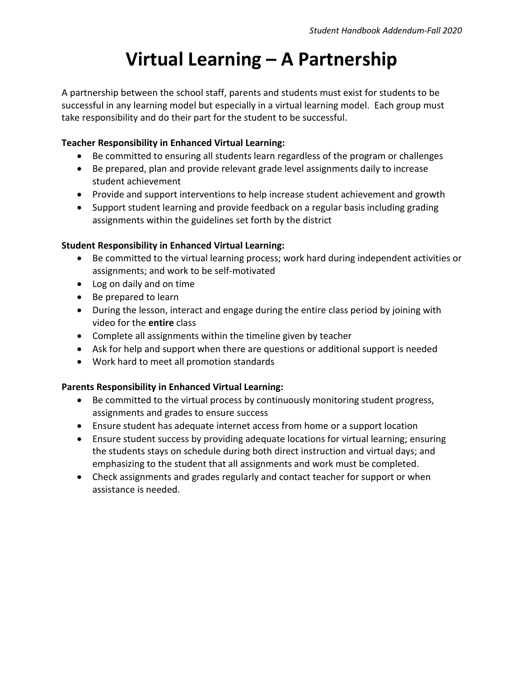## **Virtual Learning – A Partnership**

A partnership between the school staff, parents and students must exist for students to be successful in any learning model but especially in a virtual learning model. Each group must take responsibility and do their part for the student to be successful.

#### **Teacher Responsibility in Enhanced Virtual Learning:**

- Be committed to ensuring all students learn regardless of the program or challenges
- Be prepared, plan and provide relevant grade level assignments daily to increase student achievement
- Provide and support interventions to help increase student achievement and growth
- Support student learning and provide feedback on a regular basis including grading assignments within the guidelines set forth by the district

#### **Student Responsibility in Enhanced Virtual Learning:**

- Be committed to the virtual learning process; work hard during independent activities or assignments; and work to be self-motivated
- Log on daily and on time
- Be prepared to learn
- During the lesson, interact and engage during the entire class period by joining with video for the **entire** class
- Complete all assignments within the timeline given by teacher
- Ask for help and support when there are questions or additional support is needed
- Work hard to meet all promotion standards

#### **Parents Responsibility in Enhanced Virtual Learning:**

- Be committed to the virtual process by continuously monitoring student progress, assignments and grades to ensure success
- Ensure student has adequate internet access from home or a support location
- Ensure student success by providing adequate locations for virtual learning; ensuring the students stays on schedule during both direct instruction and virtual days; and emphasizing to the student that all assignments and work must be completed.
- Check assignments and grades regularly and contact teacher for support or when assistance is needed.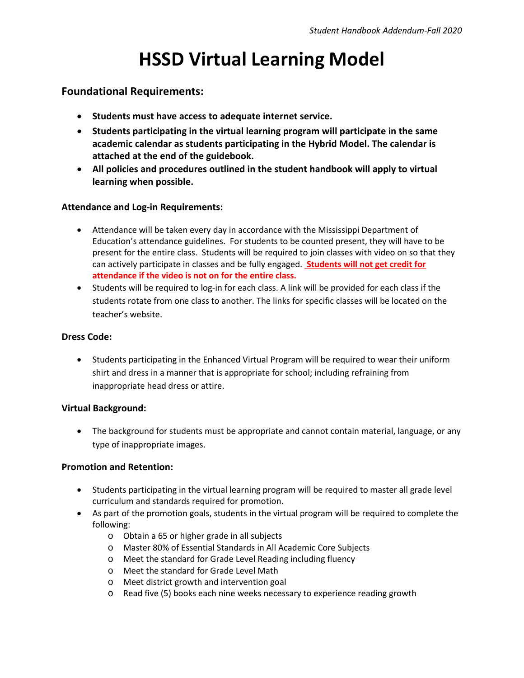### **HSSD Virtual Learning Model**

#### **Foundational Requirements:**

- **Students must have access to adequate internet service.**
- **Students participating in the virtual learning program will participate in the same academic calendar as students participating in the Hybrid Model. The calendar is attached at the end of the guidebook.**
- **All policies and procedures outlined in the student handbook will apply to virtual learning when possible.**

#### **Attendance and Log-in Requirements:**

- Attendance will be taken every day in accordance with the Mississippi Department of Education's attendance guidelines. For students to be counted present, they will have to be present for the entire class. Students will be required to join classes with video on so that they can actively participate in classes and be fully engaged. **Students will not get credit for attendance if the video is not on for the entire class.**
- Students will be required to log-in for each class. A link will be provided for each class if the students rotate from one class to another. The links for specific classes will be located on the teacher's website.

#### **Dress Code:**

• Students participating in the Enhanced Virtual Program will be required to wear their uniform shirt and dress in a manner that is appropriate for school; including refraining from inappropriate head dress or attire.

#### **Virtual Background:**

• The background for students must be appropriate and cannot contain material, language, or any type of inappropriate images.

#### **Promotion and Retention:**

- Students participating in the virtual learning program will be required to master all grade level curriculum and standards required for promotion.
- As part of the promotion goals, students in the virtual program will be required to complete the following:
	- o Obtain a 65 or higher grade in all subjects
	- o Master 80% of Essential Standards in All Academic Core Subjects
	- o Meet the standard for Grade Level Reading including fluency
	- o Meet the standard for Grade Level Math
	- o Meet district growth and intervention goal
	- o Read five (5) books each nine weeks necessary to experience reading growth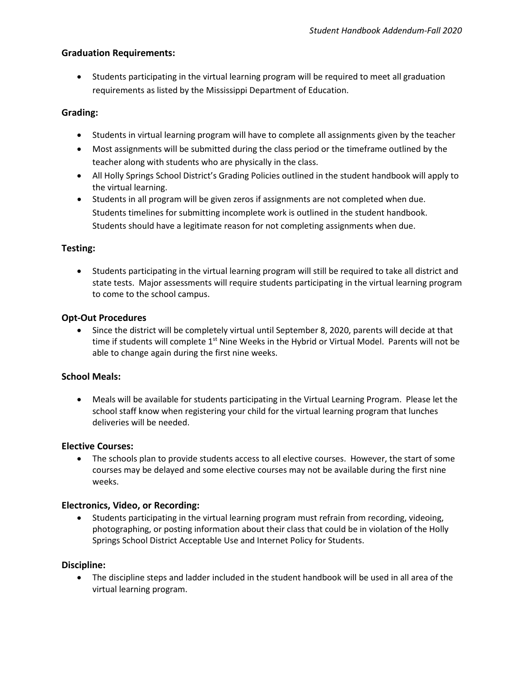#### **Graduation Requirements:**

• Students participating in the virtual learning program will be required to meet all graduation requirements as listed by the Mississippi Department of Education.

#### **Grading:**

- Students in virtual learning program will have to complete all assignments given by the teacher
- Most assignments will be submitted during the class period or the timeframe outlined by the teacher along with students who are physically in the class.
- All Holly Springs School District's Grading Policies outlined in the student handbook will apply to the virtual learning.
- Students in all program will be given zeros if assignments are not completed when due. Students timelines for submitting incomplete work is outlined in the student handbook. Students should have a legitimate reason for not completing assignments when due.

#### **Testing:**

• Students participating in the virtual learning program will still be required to take all district and state tests. Major assessments will require students participating in the virtual learning program to come to the school campus.

#### **Opt-Out Procedures**

• Since the district will be completely virtual until September 8, 2020, parents will decide at that time if students will complete  $1<sup>st</sup>$  Nine Weeks in the Hybrid or Virtual Model. Parents will not be able to change again during the first nine weeks.

#### **School Meals:**

• Meals will be available for students participating in the Virtual Learning Program. Please let the school staff know when registering your child for the virtual learning program that lunches deliveries will be needed.

#### **Elective Courses:**

• The schools plan to provide students access to all elective courses. However, the start of some courses may be delayed and some elective courses may not be available during the first nine weeks.

#### **Electronics, Video, or Recording:**

• Students participating in the virtual learning program must refrain from recording, videoing, photographing, or posting information about their class that could be in violation of the Holly Springs School District Acceptable Use and Internet Policy for Students.

#### **Discipline:**

• The discipline steps and ladder included in the student handbook will be used in all area of the virtual learning program.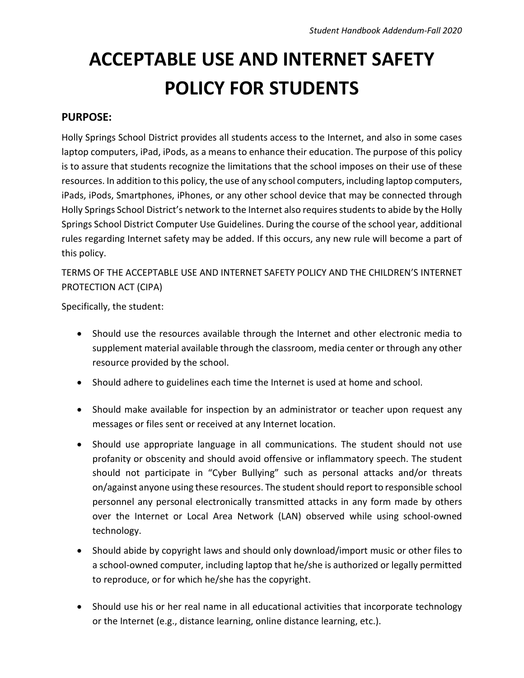## **ACCEPTABLE USE AND INTERNET SAFETY POLICY FOR STUDENTS**

#### **PURPOSE:**

Holly Springs School District provides all students access to the Internet, and also in some cases laptop computers, iPad, iPods, as a means to enhance their education. The purpose of this policy is to assure that students recognize the limitations that the school imposes on their use of these resources. In addition to this policy, the use of any school computers, including laptop computers, iPads, iPods, Smartphones, iPhones, or any other school device that may be connected through Holly Springs School District's network to the Internet also requires students to abide by the Holly Springs School District Computer Use Guidelines. During the course of the school year, additional rules regarding Internet safety may be added. If this occurs, any new rule will become a part of this policy.

TERMS OF THE ACCEPTABLE USE AND INTERNET SAFETY POLICY AND THE CHILDREN'S INTERNET PROTECTION ACT (CIPA)

Specifically, the student:

- Should use the resources available through the Internet and other electronic media to supplement material available through the classroom, media center or through any other resource provided by the school.
- Should adhere to guidelines each time the Internet is used at home and school.
- Should make available for inspection by an administrator or teacher upon request any messages or files sent or received at any Internet location.
- Should use appropriate language in all communications. The student should not use profanity or obscenity and should avoid offensive or inflammatory speech. The student should not participate in "Cyber Bullying" such as personal attacks and/or threats on/against anyone using these resources. The student should report to responsible school personnel any personal electronically transmitted attacks in any form made by others over the Internet or Local Area Network (LAN) observed while using school-owned technology.
- Should abide by copyright laws and should only download/import music or other files to a school-owned computer, including laptop that he/she is authorized or legally permitted to reproduce, or for which he/she has the copyright.
- Should use his or her real name in all educational activities that incorporate technology or the Internet (e.g., distance learning, online distance learning, etc.).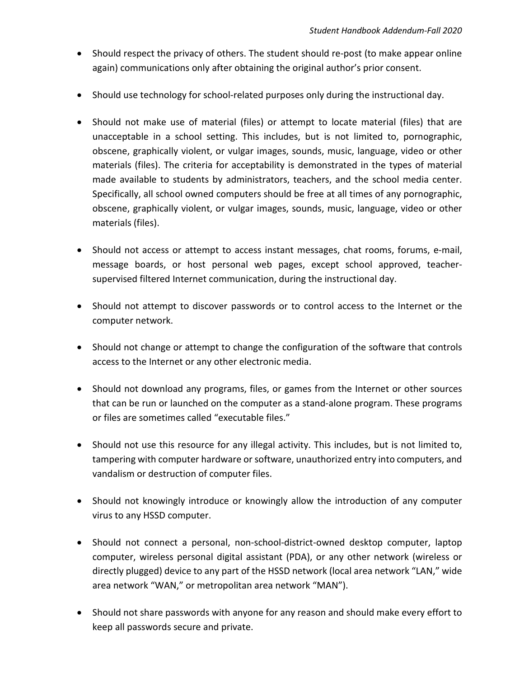- Should respect the privacy of others. The student should re-post (to make appear online again) communications only after obtaining the original author's prior consent.
- Should use technology for school-related purposes only during the instructional day.
- Should not make use of material (files) or attempt to locate material (files) that are unacceptable in a school setting. This includes, but is not limited to, pornographic, obscene, graphically violent, or vulgar images, sounds, music, language, video or other materials (files). The criteria for acceptability is demonstrated in the types of material made available to students by administrators, teachers, and the school media center. Specifically, all school owned computers should be free at all times of any pornographic, obscene, graphically violent, or vulgar images, sounds, music, language, video or other materials (files).
- Should not access or attempt to access instant messages, chat rooms, forums, e-mail, message boards, or host personal web pages, except school approved, teachersupervised filtered Internet communication, during the instructional day.
- Should not attempt to discover passwords or to control access to the Internet or the computer network.
- Should not change or attempt to change the configuration of the software that controls access to the Internet or any other electronic media.
- Should not download any programs, files, or games from the Internet or other sources that can be run or launched on the computer as a stand-alone program. These programs or files are sometimes called "executable files."
- Should not use this resource for any illegal activity. This includes, but is not limited to, tampering with computer hardware or software, unauthorized entry into computers, and vandalism or destruction of computer files.
- Should not knowingly introduce or knowingly allow the introduction of any computer virus to any HSSD computer.
- Should not connect a personal, non-school-district-owned desktop computer, laptop computer, wireless personal digital assistant (PDA), or any other network (wireless or directly plugged) device to any part of the HSSD network (local area network "LAN," wide area network "WAN," or metropolitan area network "MAN").
- Should not share passwords with anyone for any reason and should make every effort to keep all passwords secure and private.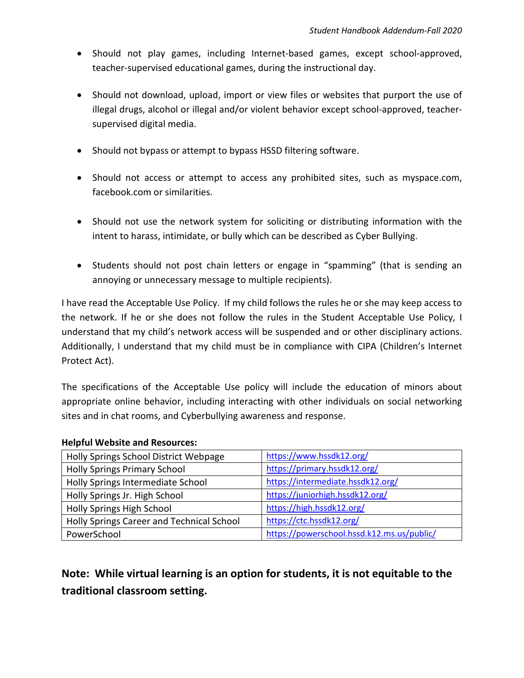- Should not play games, including Internet-based games, except school-approved, teacher-supervised educational games, during the instructional day.
- Should not download, upload, import or view files or websites that purport the use of illegal drugs, alcohol or illegal and/or violent behavior except school-approved, teachersupervised digital media.
- Should not bypass or attempt to bypass HSSD filtering software.
- Should not access or attempt to access any prohibited sites, such as myspace.com, facebook.com or similarities.
- Should not use the network system for soliciting or distributing information with the intent to harass, intimidate, or bully which can be described as Cyber Bullying.
- Students should not post chain letters or engage in "spamming" (that is sending an annoying or unnecessary message to multiple recipients).

I have read the Acceptable Use Policy. If my child follows the rules he or she may keep access to the network. If he or she does not follow the rules in the Student Acceptable Use Policy, I understand that my child's network access will be suspended and or other disciplinary actions. Additionally, I understand that my child must be in compliance with CIPA (Children's Internet Protect Act).

The specifications of the Acceptable Use policy will include the education of minors about appropriate online behavior, including interacting with other individuals on social networking sites and in chat rooms, and Cyberbullying awareness and response.

| Holly Springs School District Webpage     | https://www.hssdk12.org/                   |
|-------------------------------------------|--------------------------------------------|
| <b>Holly Springs Primary School</b>       | https://primary.hssdk12.org/               |
| Holly Springs Intermediate School         | https://intermediate.hssdk12.org/          |
| Holly Springs Jr. High School             | https://juniorhigh.hssdk12.org/            |
| Holly Springs High School                 | https://high.hssdk12.org/                  |
| Holly Springs Career and Technical School | https://ctc.hssdk12.org/                   |
| PowerSchool                               | https://powerschool.hssd.k12.ms.us/public/ |

#### **Helpful Website and Resources:**

**Note: While virtual learning is an option for students, it is not equitable to the traditional classroom setting.**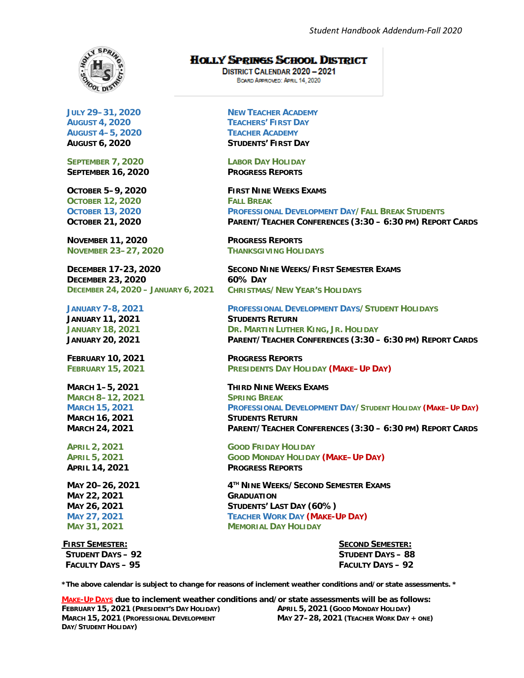

**JULY 29–31, 2020 AUGUST 4, 2020 AUGUST 4–5, 2020 AUGUST 6, 2020**

**SEPTEMBER 7, 2020 SEPTEMBER 16, 2020**

**OCTOBER 5–9, 2020 OCTOBER 12, 2020 OCTOBER 13, 2020 OCTOBER 21, 2020**

**NOVEMBER 11, 2020 NOVEMBER 23–27, 2020**

**DECEMBER 17-23, 2020 DECEMBER 23, 2020 DECEMBER 24, 2020 – JANUARY 6, 2021**

**JANUARY 7-8, 2021 JANUARY 11, 2021 JANUARY 18, 2021 JANUARY 20, 2021**

**FEBRUARY 10, 2021 FEBRUARY 15, 2021**

**MARCH 1–5, 2021 MARCH 8–12, 2021 MARCH 15, 2021 MARCH 16, 2021 MARCH 24, 2021**

**APRIL 2, 2021 APRIL 5, 2021 APRIL 14, 2021**

**MAY 20–26, 2021 MAY 22, 2021 MAY 26, 2021 MAY 27, 2021 MAY 31, 2021**

 **FIRST SEMESTER: SECOND SEMESTER: STUDENT DAYS – 92 STUDENT DAYS – 88 FACULTY DAYS – 95 FACULTY DAYS – 92**

**HOLLY SPRINGS SCHOOL DISTRICT** 

**DISTRICT CALENDAR 2020-2021** BOARD APPROVED: APRIL 14, 2020

**NEW TEACHER ACADEMY TEACHERS' FIRST DAY TEACHER ACADEMY STUDENTS' FIRST DAY**

**LABOR DAY HOLIDAY PROGRESS REPORTS**

**FIRST NINE WEEKS EXAMS FALL BREAK PROFESSIONAL DEVELOPMENT DAY/FALL BREAK STUDENTS PARENT/TEACHER CONFERENCES (3:30 – 6:30 PM) REPORT CARDS**

**PROGRESS REPORTS THANKSGIVING HOLIDAYS**

**SECOND NINE WEEKS/FIRST SEMESTER EXAMS 60% DAY CHRISTMAS/NEW YEAR'S HOLIDAYS**

**PROFESSIONAL DEVELOPMENT DAYS/STUDENT HOLIDAYS STUDENTS RETURN DR. MARTIN LUTHER KING, JR. HOLIDAY PARENT/TEACHER CONFERENCES (3:30 – 6:30 PM) REPORT CARDS**

**PROGRESS REPORTS PRESIDENTS DAY HOLIDAY (MAKE–UP DAY)**

**THIRD NINE WEEKS EXAMS SPRING BREAK PROFESSIONAL DEVELOPMENT DAY/STUDENT HOLIDAY (MAKE–UP DAY) STUDENTS RETURN PARENT/TEACHER CONFERENCES (3:30 – 6:30 PM) REPORT CARDS**

**GOOD FRIDAY HOLIDAY GOOD MONDAY HOLIDAY (MAKE–UP DAY) PROGRESS REPORTS**

**4TH NINE WEEKS/SECOND SEMESTER EXAMS GRADUATION STUDENTS' LAST DAY (60%) TEACHER WORK DAY (MAKE-UP DAY) MEMORIAL DAY HOLIDAY**

**\*The above calendar is subject to change for reasons of inclement weather conditions and/or state assessments. \***

**MAKE-UP DAYS due to inclement weather conditions and/or state assessments will be as follows: FEBRUARY 15, 2021 (PRESIDENT'S DAY HOLIDAY) MARCH 15, 2021 (PROFESSIONAL DEVELOPMENT DAY/STUDENT HOLIDAY) APRIL 5, 2021 (GOOD MONDAY HOLIDAY) MAY 27–28, 2021 (TEACHER WORK DAY + ONE)**